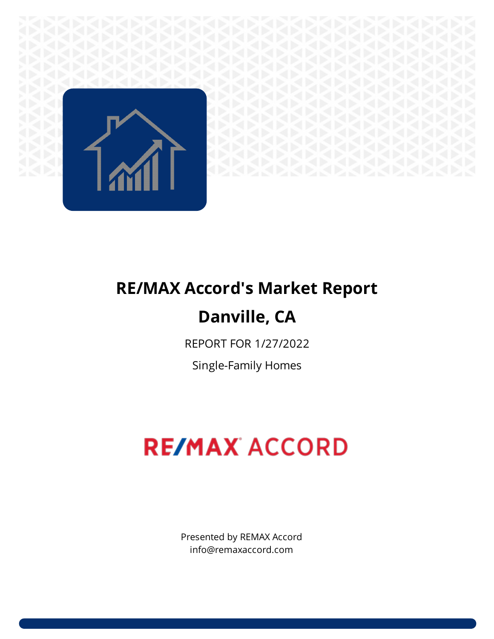

## **RE/MAX Accord's Market Report Danville, CA**

REPORT FOR 1/27/2022

Single-Family Homes

# **RE/MAX ACCORD**

Presented by REMAX Accord info@remaxaccord.com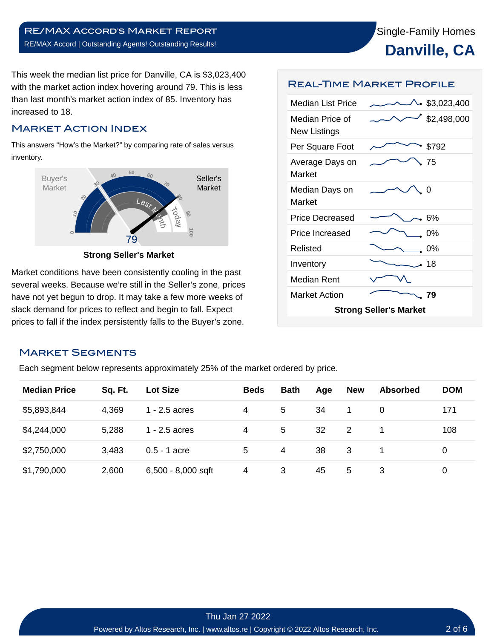Single-Family Homes **Danville, CA**

This week the median list price for Danville, CA is \$3,023,400 with the market action index hovering around 79. This is less than last month's market action index of 85. Inventory has increased to 18.

#### Market Action Index

This answers "How's the Market?" by comparing rate of sales versus inventory.



**Strong Seller's Market**

Market conditions have been consistently cooling in the past several weeks. Because we're still in the Seller's zone, prices have not yet begun to drop. It may take a few more weeks of slack demand for prices to reflect and begin to fall. Expect prices to fall if the index persistently falls to the Buyer's zone.

#### Real-Time Market Profile

| Median List Price                      | 95,023,400  |  |  |  |  |  |  |
|----------------------------------------|-------------|--|--|--|--|--|--|
| Median Price of<br><b>New Listings</b> | \$2,498,000 |  |  |  |  |  |  |
| Per Square Foot                        | \$792       |  |  |  |  |  |  |
| Average Days on<br>Market              | 75          |  |  |  |  |  |  |
| Median Days on<br>Market               | 0           |  |  |  |  |  |  |
| <b>Price Decreased</b>                 | -6%         |  |  |  |  |  |  |
| Price Increased                        | 0%          |  |  |  |  |  |  |
| Relisted                               | $0\%$       |  |  |  |  |  |  |
| Inventory                              | • 18        |  |  |  |  |  |  |
| Median Rent                            |             |  |  |  |  |  |  |
| <b>Market Action</b>                   | 79          |  |  |  |  |  |  |
| <b>Strong Seller's Market</b>          |             |  |  |  |  |  |  |

#### Market Segments

Each segment below represents approximately 25% of the market ordered by price.

| <b>Median Price</b> | Sq. Ft. | <b>Lot Size</b>    | <b>Beds</b> | <b>Bath</b> | Age | <b>New</b> | <b>Absorbed</b> | <b>DOM</b> |
|---------------------|---------|--------------------|-------------|-------------|-----|------------|-----------------|------------|
| \$5,893,844         | 4,369   | $1 - 2.5$ acres    | 4           | 5           | 34  |            | 0               | 171        |
| \$4,244,000         | 5,288   | $1 - 2.5$ acres    | 4           | 5           | 32  | 2          |                 | 108        |
| \$2,750,000         | 3,483   | $0.5 - 1$ acre     | 5.          | 4           | 38  | 3          |                 | 0          |
| \$1,790,000         | 2,600   | 6,500 - 8,000 sqft | 4           | 3           | 45  | 5          | 3               | 0          |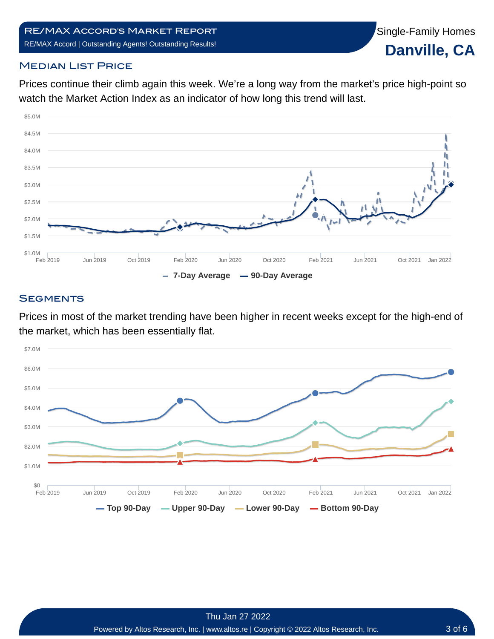

**Danville, CA**

#### **MEDIAN LIST PRICE**

Prices continue their climb again this week. We're a long way from the market's price high-point so watch the Market Action Index as an indicator of how long this trend will last.



#### **SEGMENTS**

Prices in most of the market trending have been higher in recent weeks except for the high-end of the market, which has been essentially flat.

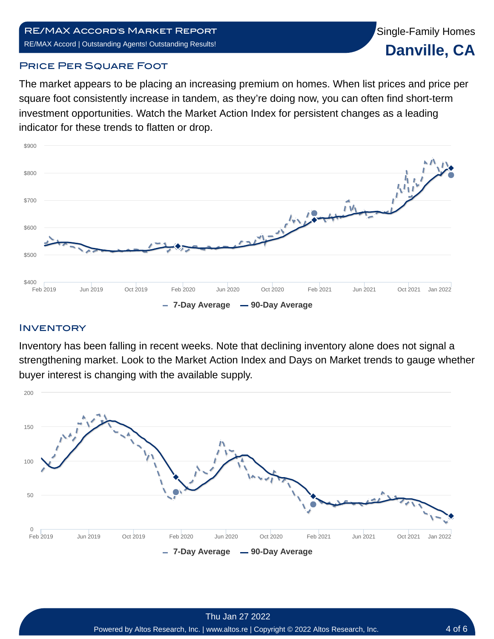#### **PRICE PER SQUARE FOOT**

The market appears to be placing an increasing premium on homes. When list prices and price per square foot consistently increase in tandem, as they're doing now, you can often find short-term investment opportunities. Watch the Market Action Index for persistent changes as a leading indicator for these trends to flatten or drop.



#### **INVENTORY**

Inventory has been falling in recent weeks. Note that declining inventory alone does not signal a strengthening market. Look to the Market Action Index and Days on Market trends to gauge whether buyer interest is changing with the available supply.

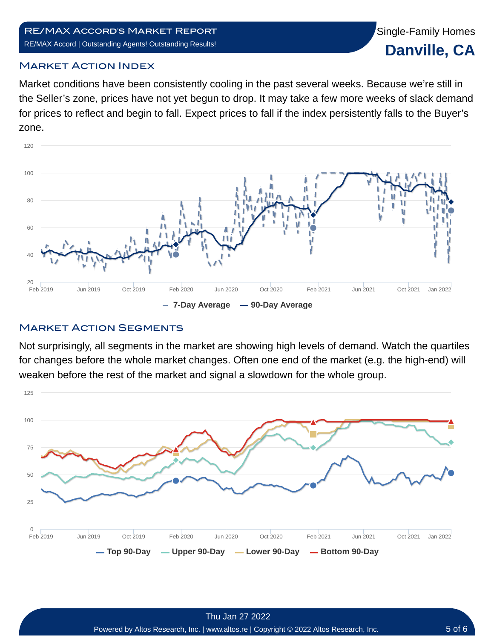#### Market Action Index

Market conditions have been consistently cooling in the past several weeks. Because we're still in the Seller's zone, prices have not yet begun to drop. It may take a few more weeks of slack demand for prices to reflect and begin to fall. Expect prices to fall if the index persistently falls to the Buyer's zone.



#### **MARKET ACTION SEGMENTS**

Not surprisingly, all segments in the market are showing high levels of demand. Watch the quartiles for changes before the whole market changes. Often one end of the market (e.g. the high-end) will weaken before the rest of the market and signal a slowdown for the whole group.